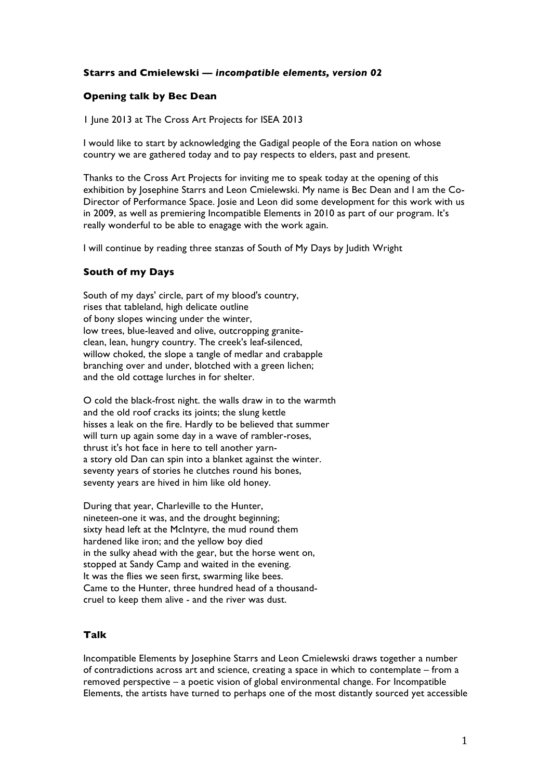## **Starrs and Cmielewski —** *incompatible elements, version 02*

## **Opening talk by Bec Dean**

1 June 2013 at The Cross Art Projects for ISEA 2013

I would like to start by acknowledging the Gadigal people of the Eora nation on whose country we are gathered today and to pay respects to elders, past and present.

Thanks to the Cross Art Projects for inviting me to speak today at the opening of this exhibition by Josephine Starrs and Leon Cmielewski. My name is Bec Dean and I am the Co-Director of Performance Space. Josie and Leon did some development for this work with us in 2009, as well as premiering Incompatible Elements in 2010 as part of our program. It's really wonderful to be able to enagage with the work again.

I will continue by reading three stanzas of South of My Days by Judith Wright

## **South of my Days**

South of my days' circle, part of my blood's country, rises that tableland, high delicate outline of bony slopes wincing under the winter, low trees, blue-leaved and olive, outcropping graniteclean, lean, hungry country. The creek's leaf-silenced, willow choked, the slope a tangle of medlar and crabapple branching over and under, blotched with a green lichen; and the old cottage lurches in for shelter.

O cold the black-frost night. the walls draw in to the warmth and the old roof cracks its joints; the slung kettle hisses a leak on the fire. Hardly to be believed that summer will turn up again some day in a wave of rambler-roses, thrust it's hot face in here to tell another yarna story old Dan can spin into a blanket against the winter. seventy years of stories he clutches round his bones, seventy years are hived in him like old honey.

During that year, Charleville to the Hunter, nineteen-one it was, and the drought beginning; sixty head left at the McIntyre, the mud round them hardened like iron; and the yellow boy died in the sulky ahead with the gear, but the horse went on, stopped at Sandy Camp and waited in the evening. It was the flies we seen first, swarming like bees. Came to the Hunter, three hundred head of a thousandcruel to keep them alive - and the river was dust.

## **Talk**

Incompatible Elements by Josephine Starrs and Leon Cmielewski draws together a number of contradictions across art and science, creating a space in which to contemplate – from a removed perspective – a poetic vision of global environmental change. For Incompatible Elements, the artists have turned to perhaps one of the most distantly sourced yet accessible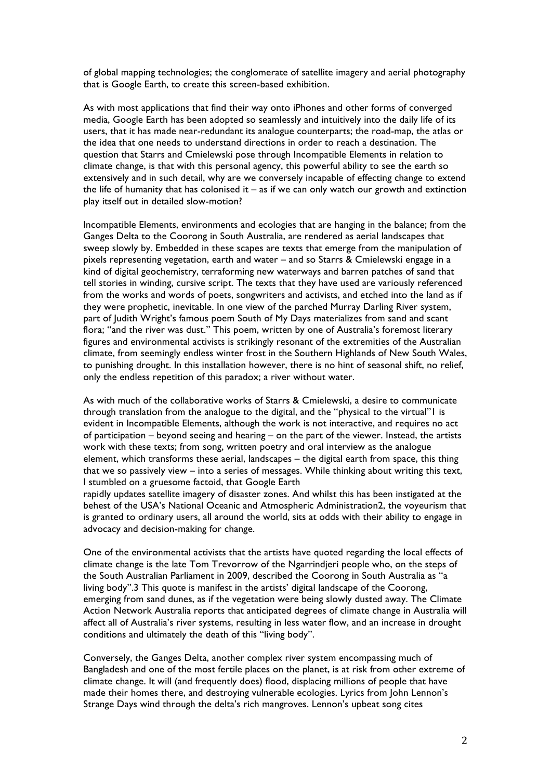of global mapping technologies; the conglomerate of satellite imagery and aerial photography that is Google Earth, to create this screen-based exhibition.

As with most applications that find their way onto iPhones and other forms of converged media, Google Earth has been adopted so seamlessly and intuitively into the daily life of its users, that it has made near-redundant its analogue counterparts; the road-map, the atlas or the idea that one needs to understand directions in order to reach a destination. The question that Starrs and Cmielewski pose through Incompatible Elements in relation to climate change, is that with this personal agency, this powerful ability to see the earth so extensively and in such detail, why are we conversely incapable of effecting change to extend the life of humanity that has colonised it  $-$  as if we can only watch our growth and extinction play itself out in detailed slow-motion?

Incompatible Elements, environments and ecologies that are hanging in the balance; from the Ganges Delta to the Coorong in South Australia, are rendered as aerial landscapes that sweep slowly by. Embedded in these scapes are texts that emerge from the manipulation of pixels representing vegetation, earth and water – and so Starrs & Cmielewski engage in a kind of digital geochemistry, terraforming new waterways and barren patches of sand that tell stories in winding, cursive script. The texts that they have used are variously referenced from the works and words of poets, songwriters and activists, and etched into the land as if they were prophetic, inevitable. In one view of the parched Murray Darling River system, part of Judith Wright's famous poem South of My Days materializes from sand and scant flora; "and the river was dust." This poem, written by one of Australia's foremost literary figures and environmental activists is strikingly resonant of the extremities of the Australian climate, from seemingly endless winter frost in the Southern Highlands of New South Wales, to punishing drought. In this installation however, there is no hint of seasonal shift, no relief, only the endless repetition of this paradox; a river without water.

As with much of the collaborative works of Starrs & Cmielewski, a desire to communicate through translation from the analogue to the digital, and the "physical to the virtual"1 is evident in Incompatible Elements, although the work is not interactive, and requires no act of participation – beyond seeing and hearing – on the part of the viewer. Instead, the artists work with these texts; from song, written poetry and oral interview as the analogue element, which transforms these aerial, landscapes – the digital earth from space, this thing that we so passively view – into a series of messages. While thinking about writing this text, I stumbled on a gruesome factoid, that Google Earth

rapidly updates satellite imagery of disaster zones. And whilst this has been instigated at the behest of the USA's National Oceanic and Atmospheric Administration2, the voyeurism that is granted to ordinary users, all around the world, sits at odds with their ability to engage in advocacy and decision-making for change.

One of the environmental activists that the artists have quoted regarding the local effects of climate change is the late Tom Trevorrow of the Ngarrindjeri people who, on the steps of the South Australian Parliament in 2009, described the Coorong in South Australia as "a living body".3 This quote is manifest in the artists' digital landscape of the Coorong, emerging from sand dunes, as if the vegetation were being slowly dusted away. The Climate Action Network Australia reports that anticipated degrees of climate change in Australia will affect all of Australia's river systems, resulting in less water flow, and an increase in drought conditions and ultimately the death of this "living body".

Conversely, the Ganges Delta, another complex river system encompassing much of Bangladesh and one of the most fertile places on the planet, is at risk from other extreme of climate change. It will (and frequently does) flood, displacing millions of people that have made their homes there, and destroying vulnerable ecologies. Lyrics from John Lennon's Strange Days wind through the delta's rich mangroves. Lennon's upbeat song cites